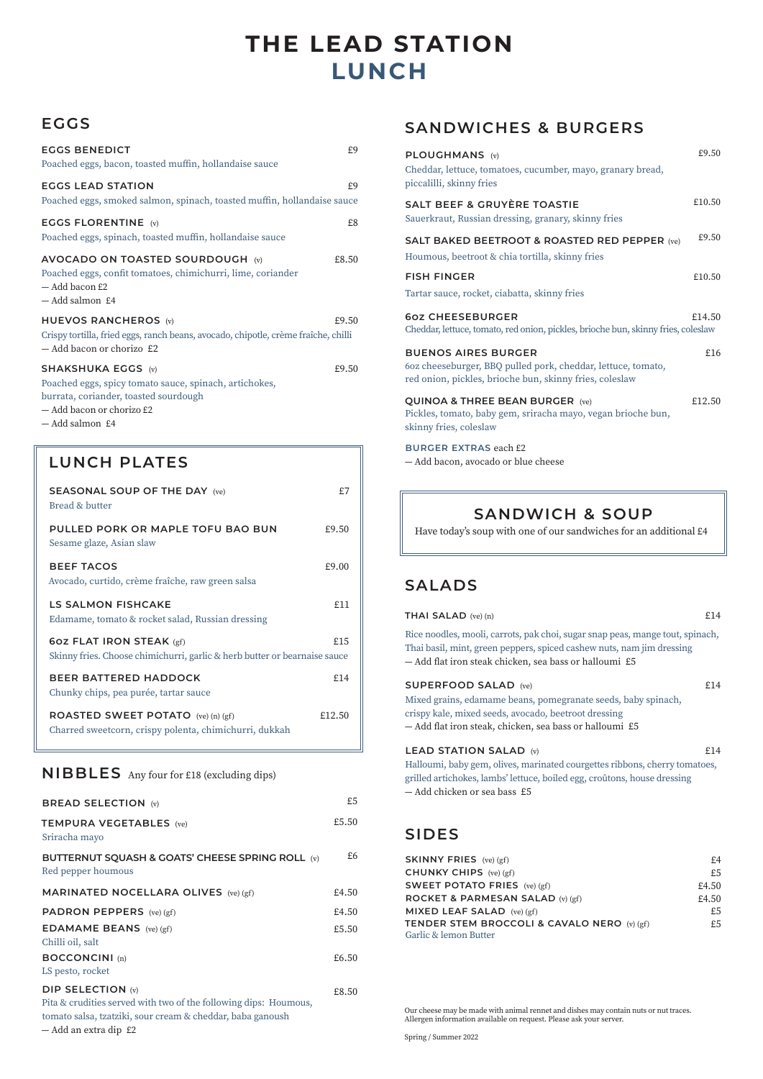# **LUNCH THE LEAD STATION**

## **EGGS**

| <b>EGGS BENEDICT</b><br>Poached eggs, bacon, toasted muffin, hollandaise sauce                                                                                               | £9    |
|------------------------------------------------------------------------------------------------------------------------------------------------------------------------------|-------|
| <b>EGGS LEAD STATION</b><br>Poached eggs, smoked salmon, spinach, toasted muffin, hollandaise sauce                                                                          | £9    |
| <b>EGGS FLORENTINE (v)</b><br>Poached eggs, spinach, toasted muffin, hollandaise sauce                                                                                       | £8    |
| AVOCADO ON TOASTED SOURDOUGH (v)<br>Poached eggs, confit tomatoes, chimichurri, lime, coriander<br>- Add bacon £2<br>- Add salmon £4                                         | £8.50 |
| <b>HUEVOS RANCHEROS</b> (v)<br>Crispy tortilla, fried eggs, ranch beans, avocado, chipotle, crème fraîche, chilli<br>- Add bacon or chorizo £2                               | £9.50 |
| <b>SHAKSHUKA EGGS (v)</b><br>Poached eggs, spicy tomato sauce, spinach, artichokes,<br>burrata, coriander, toasted sourdough<br>- Add bacon or chorizo £2<br>- Add salmon £4 | £9.50 |

### LUNCH PLATES

| <b>SEASONAL SOUP OF THE DAY (ve)</b><br>Bread & butter                                                       | £7     |
|--------------------------------------------------------------------------------------------------------------|--------|
| PULLED PORK OR MAPLE TOFU BAO BUN<br>Sesame glaze, Asian slaw                                                | £9.50  |
| <b>BEEF TACOS</b><br>Avocado, curtido, crème fraîche, raw green salsa                                        | £9.00  |
| <b>LS SALMON FISHCAKE</b><br>Edamame, tomato & rocket salad, Russian dressing                                | f11    |
| <b>60Z FLAT IRON STEAK (gf)</b><br>Skinny fries. Choose chimichurri, garlic & herb butter or bearnaise sauce | £15    |
| <b>BEER BATTERED HADDOCK</b><br>Chunky chips, pea purée, tartar sauce                                        | £14    |
| <b>ROASTED SWEET POTATO</b> (ve) (n) (gf)<br>Charred sweetcorn, crispy polenta, chimichurri, dukkah          | £12.50 |

### **NIBBLES** Any four for £18 (excluding dips)

| <b>BREAD SELECTION (v)</b>                                                                                                                                                          | £5    |
|-------------------------------------------------------------------------------------------------------------------------------------------------------------------------------------|-------|
| <b>TEMPURA VEGETABLES</b> (ve)<br>Sriracha mayo                                                                                                                                     | £5.50 |
| BUTTERNUT SOUASH & GOATS' CHEESE SPRING ROLL (v)<br>Red pepper houmous                                                                                                              | £6    |
| <b>MARINATED NOCELLARA OLIVES</b> (ve) (gf)                                                                                                                                         | £4.50 |
| <b>PADRON PEPPERS</b> (ve) (gf)                                                                                                                                                     | £4.50 |
| <b>EDAMAME BEANS</b> (ve) $(gf)$<br>Chilli oil, salt                                                                                                                                | £5.50 |
| <b>BOCCONCINI</b> (n)<br>LS pesto, rocket                                                                                                                                           | £6.50 |
| <b>DIP SELECTION (v)</b><br>Pita & crudities served with two of the following dips: Houmous,<br>tomato salsa, tzatziki, sour cream & cheddar, baba ganoush<br>— Add an extra dip £2 | £8.50 |

## **SANDWICHES & BURGERS**

|                                                                                                                                                       | £9.50  |
|-------------------------------------------------------------------------------------------------------------------------------------------------------|--------|
| PLOUGHMANS (v)<br>Cheddar, lettuce, tomatoes, cucumber, mayo, granary bread,<br>piccalilli, skinny fries                                              |        |
| <b>SALT BEEF &amp; GRUYÈRE TOASTIE</b><br>Sauerkraut, Russian dressing, granary, skinny fries                                                         | £10.50 |
| <b>SALT BAKED BEETROOT &amp; ROASTED RED PEPPER (ve)</b><br>Houmous, beetroot & chia tortilla, skinny fries                                           | £9.50  |
| <b>FISH FINGER</b>                                                                                                                                    | £10.50 |
| Tartar sauce, rocket, ciabatta, skinny fries                                                                                                          |        |
| 607 CHEESEBURGER<br>Cheddar, lettuce, tomato, red onion, pickles, brioche bun, skinny fries, coleslaw                                                 | £14.50 |
| <b>BUENOS AIRES BURGER</b><br>60z cheeseburger, BBQ pulled pork, cheddar, lettuce, tomato,<br>red onion, pickles, brioche bun, skinny fries, coleslaw | £16    |
| <b>QUINOA &amp; THREE BEAN BURGER (ve)</b><br>Pickles, tomato, baby gem, sriracha mayo, vegan brioche bun,<br>skinny fries, coleslaw                  | £12.50 |
| <b>BURGER EXTRAS each £2</b><br>- Add bacon, avocado or blue cheese                                                                                   |        |

## **SANDWICH & SOUP**

Have today's soup with one of our sandwiches for an additional £4

## **SALADS**

#### **THAI SALAD** (ve) (n)  $£14$

Rice noodles, mooli, carrots, pak choi, sugar snap peas, mange tout, spinach, Thai basil, mint, green peppers, spiced cashew nuts, nam jim dressing ― Add flat iron steak chicken, sea bass or halloumi £5

#### **SUPERFOOD SALAD** (ve)  $£14$

Mixed grains, edamame beans, pomegranate seeds, baby spinach, crispy kale, mixed seeds, avocado, beetroot dressing ― Add flat iron steak, chicken, sea bass or halloumi £5

### **LEAD STATION SALAD** (v)  $£14$

Halloumi, baby gem, olives, marinated courgettes ribbons, cherry tomatoes, grilled artichokes, lambs' lettuce, boiled egg, croûtons, house dressing ― Add chicken or sea bass £5

### **SIDES**

| <b>SKINNY FRIES</b> (ve) (gf)                          | £4    |
|--------------------------------------------------------|-------|
| CHUNKY CHIPS (ve) (gf)                                 | £5    |
| <b>SWEET POTATO FRIES</b> (ve) (gf)                    | £4.50 |
| ROCKET & PARMESAN SALAD (v) (gf)                       | £4.50 |
| MIXED LEAF SALAD $(ve)(gf)$                            | £5    |
| <b>TENDER STEM BROCCOLI &amp; CAVALO NERO</b> (v) (gf) | £5    |
| Garlic & lemon Butter                                  |       |

Our cheese may be made with animal rennet and dishes may contain nuts or nut traces. Allergen information available on request. Please ask your server.